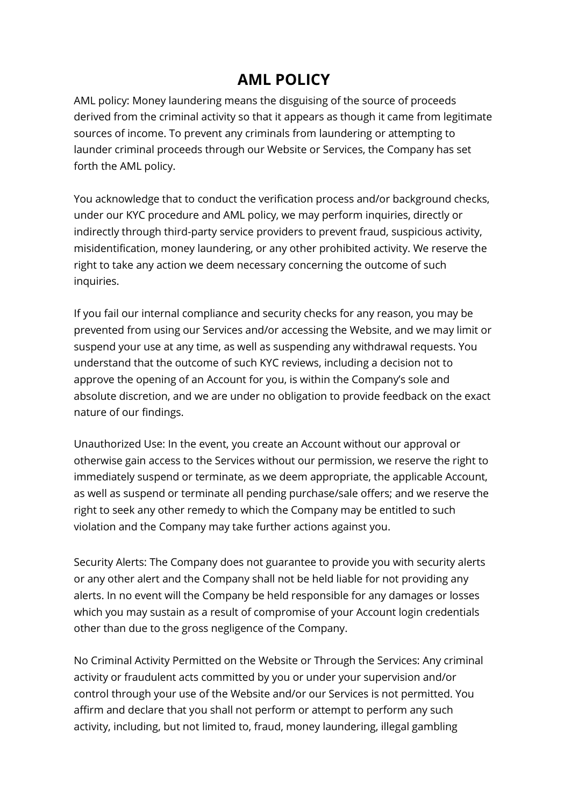## **AML POLICY**

AML policy: Money laundering means the disguising of the source of proceeds derived from the criminal activity so that it appears as though it came from legitimate sources of income. To prevent any criminals from laundering or attempting to launder criminal proceeds through our Website or Services, the Company has set forth the AML policy.

You acknowledge that to conduct the verification process and/or background checks, under our KYC procedure and AML policy, we may perform inquiries, directly or indirectly through third-party service providers to prevent fraud, suspicious activity, misidentification, money laundering, or any other prohibited activity. We reserve the right to take any action we deem necessary concerning the outcome of such inquiries.

If you fail our internal compliance and security checks for any reason, you may be prevented from using our Services and/or accessing the Website, and we may limit or suspend your use at any time, as well as suspending any withdrawal requests. You understand that the outcome of such KYC reviews, including a decision not to approve the opening of an Account for you, is within the Company's sole and absolute discretion, and we are under no obligation to provide feedback on the exact nature of our findings.

Unauthorized Use: In the event, you create an Account without our approval or otherwise gain access to the Services without our permission, we reserve the right to immediately suspend or terminate, as we deem appropriate, the applicable Account, as well as suspend or terminate all pending purchase/sale offers; and we reserve the right to seek any other remedy to which the Company may be entitled to such violation and the Company may take further actions against you.

Security Alerts: The Company does not guarantee to provide you with security alerts or any other alert and the Company shall not be held liable for not providing any alerts. In no event will the Company be held responsible for any damages or losses which you may sustain as a result of compromise of your Account login credentials other than due to the gross negligence of the Company.

No Criminal Activity Permitted on the Website or Through the Services: Any criminal activity or fraudulent acts committed by you or under your supervision and/or control through your use of the Website and/or our Services is not permitted. You affirm and declare that you shall not perform or attempt to perform any such activity, including, but not limited to, fraud, money laundering, illegal gambling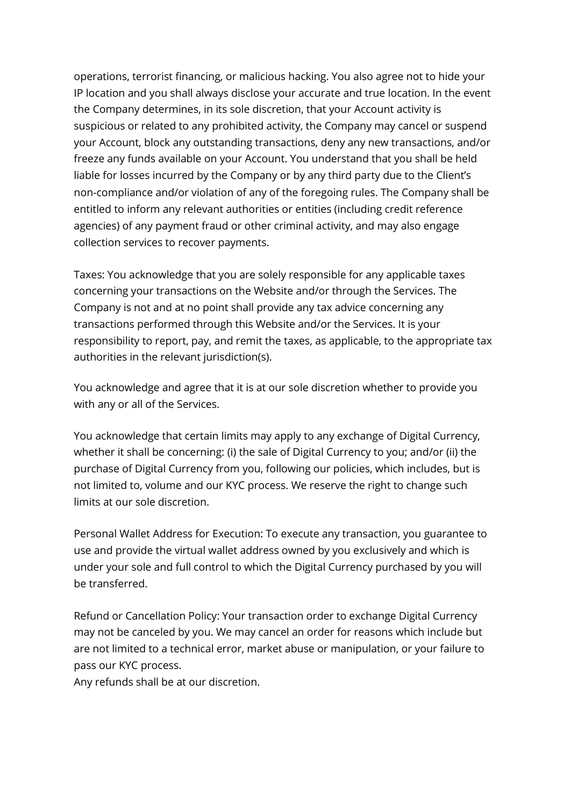operations, terrorist financing, or malicious hacking. You also agree not to hide your IP location and you shall always disclose your accurate and true location. In the event the Company determines, in its sole discretion, that your Account activity is suspicious or related to any prohibited activity, the Company may cancel or suspend your Account, block any outstanding transactions, deny any new transactions, and/or freeze any funds available on your Account. You understand that you shall be held liable for losses incurred by the Company or by any third party due to the Client's non-compliance and/or violation of any of the foregoing rules. The Company shall be entitled to inform any relevant authorities or entities (including credit reference agencies) of any payment fraud or other criminal activity, and may also engage collection services to recover payments.

Taxes: You acknowledge that you are solely responsible for any applicable taxes concerning your transactions on the Website and/or through the Services. The Company is not and at no point shall provide any tax advice concerning any transactions performed through this Website and/or the Services. It is your responsibility to report, pay, and remit the taxes, as applicable, to the appropriate tax authorities in the relevant jurisdiction(s).

You acknowledge and agree that it is at our sole discretion whether to provide you with any or all of the Services.

You acknowledge that certain limits may apply to any exchange of Digital Currency, whether it shall be concerning: (i) the sale of Digital Currency to you; and/or (ii) the purchase of Digital Currency from you, following our policies, which includes, but is not limited to, volume and our KYC process. We reserve the right to change such limits at our sole discretion.

Personal Wallet Address for Execution: To execute any transaction, you guarantee to use and provide the virtual wallet address owned by you exclusively and which is under your sole and full control to which the Digital Currency purchased by you will be transferred.

Refund or Cancellation Policy: Your transaction order to exchange Digital Currency may not be canceled by you. We may cancel an order for reasons which include but are not limited to a technical error, market abuse or manipulation, or your failure to pass our KYC process.

Any refunds shall be at our discretion.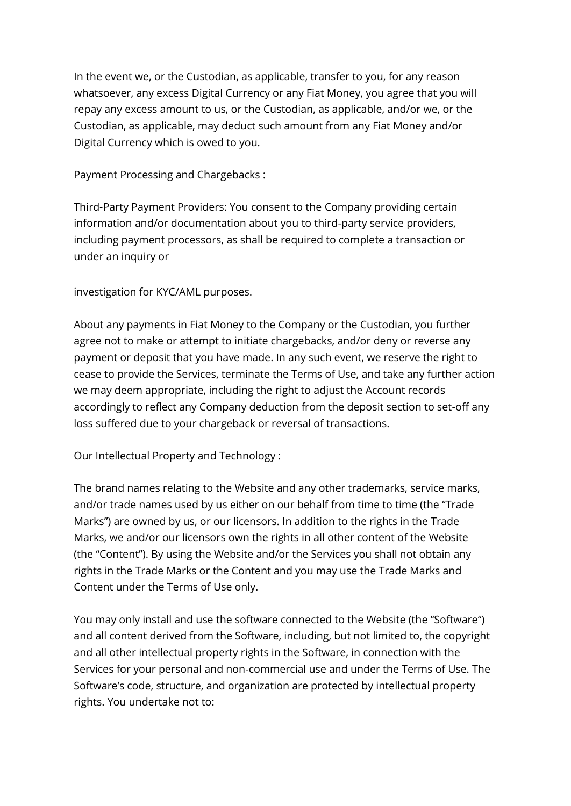In the event we, or the Custodian, as applicable, transfer to you, for any reason whatsoever, any excess Digital Currency or any Fiat Money, you agree that you will repay any excess amount to us, or the Custodian, as applicable, and/or we, or the Custodian, as applicable, may deduct such amount from any Fiat Money and/or Digital Currency which is owed to you.

Payment Processing and Chargebacks :

Third-Party Payment Providers: You consent to the Company providing certain information and/or documentation about you to third-party service providers, including payment processors, as shall be required to complete a transaction or under an inquiry or

investigation for KYC/AML purposes.

About any payments in Fiat Money to the Company or the Custodian, you further agree not to make or attempt to initiate chargebacks, and/or deny or reverse any payment or deposit that you have made. In any such event, we reserve the right to cease to provide the Services, terminate the Terms of Use, and take any further action we may deem appropriate, including the right to adjust the Account records accordingly to reflect any Company deduction from the deposit section to set-off any loss suffered due to your chargeback or reversal of transactions.

Our Intellectual Property and Technology :

The brand names relating to the Website and any other trademarks, service marks, and/or trade names used by us either on our behalf from time to time (the "Trade Marks") are owned by us, or our licensors. In addition to the rights in the Trade Marks, we and/or our licensors own the rights in all other content of the Website (the "Content"). By using the Website and/or the Services you shall not obtain any rights in the Trade Marks or the Content and you may use the Trade Marks and Content under the Terms of Use only.

You may only install and use the software connected to the Website (the "Software") and all content derived from the Software, including, but not limited to, the copyright and all other intellectual property rights in the Software, in connection with the Services for your personal and non-commercial use and under the Terms of Use. The Software's code, structure, and organization are protected by intellectual property rights. You undertake not to: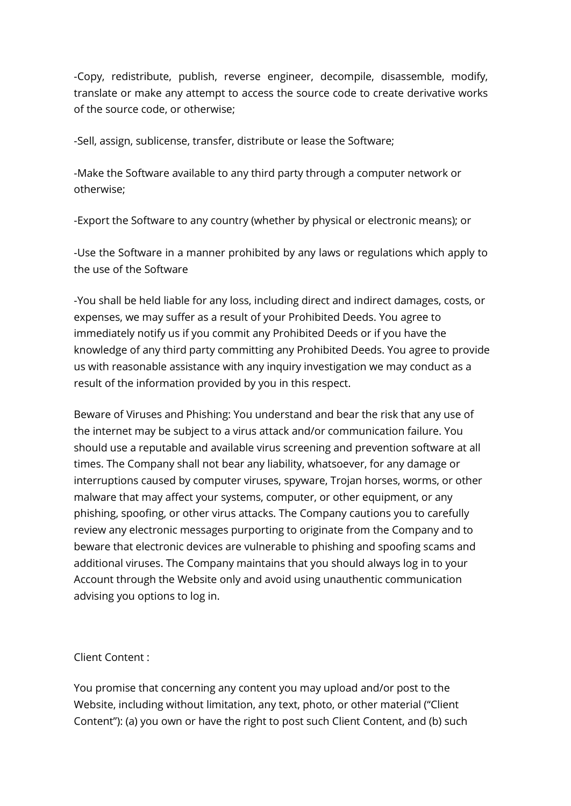-Copy, redistribute, publish, reverse engineer, decompile, disassemble, modify, translate or make any attempt to access the source code to create derivative works of the source code, or otherwise;

-Sell, assign, sublicense, transfer, distribute or lease the Software;

-Make the Software available to any third party through a computer network or otherwise;

-Export the Software to any country (whether by physical or electronic means); or

-Use the Software in a manner prohibited by any laws or regulations which apply to the use of the Software

-You shall be held liable for any loss, including direct and indirect damages, costs, or expenses, we may suffer as a result of your Prohibited Deeds. You agree to immediately notify us if you commit any Prohibited Deeds or if you have the knowledge of any third party committing any Prohibited Deeds. You agree to provide us with reasonable assistance with any inquiry investigation we may conduct as a result of the information provided by you in this respect.

Beware of Viruses and Phishing: You understand and bear the risk that any use of the internet may be subject to a virus attack and/or communication failure. You should use a reputable and available virus screening and prevention software at all times. The Company shall not bear any liability, whatsoever, for any damage or interruptions caused by computer viruses, spyware, Trojan horses, worms, or other malware that may affect your systems, computer, or other equipment, or any phishing, spoofing, or other virus attacks. The Company cautions you to carefully review any electronic messages purporting to originate from the Company and to beware that electronic devices are vulnerable to phishing and spoofing scams and additional viruses. The Company maintains that you should always log in to your Account through the Website only and avoid using unauthentic communication advising you options to log in.

Client Content :

You promise that concerning any content you may upload and/or post to the Website, including without limitation, any text, photo, or other material ("Client Content"): (a) you own or have the right to post such Client Content, and (b) such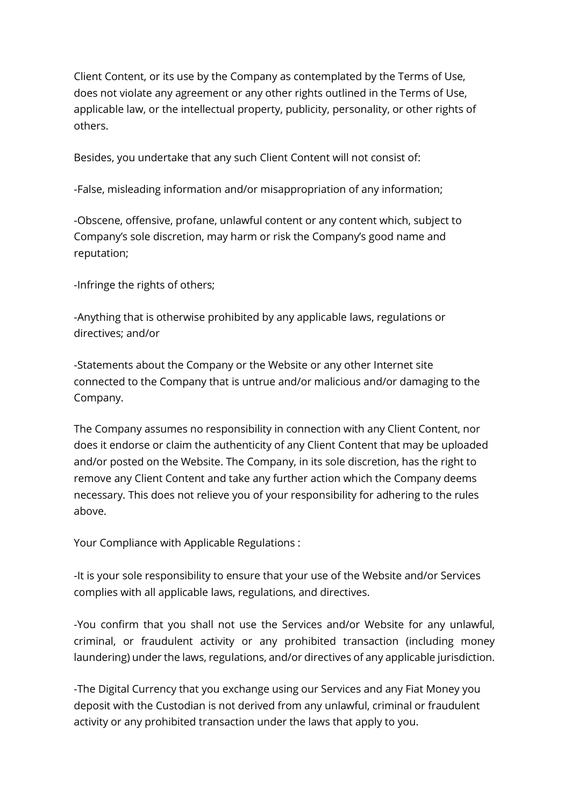Client Content, or its use by the Company as contemplated by the Terms of Use, does not violate any agreement or any other rights outlined in the Terms of Use, applicable law, or the intellectual property, publicity, personality, or other rights of others.

Besides, you undertake that any such Client Content will not consist of:

-False, misleading information and/or misappropriation of any information;

-Obscene, offensive, profane, unlawful content or any content which, subject to Company's sole discretion, may harm or risk the Company's good name and reputation;

-Infringe the rights of others;

-Anything that is otherwise prohibited by any applicable laws, regulations or directives; and/or

-Statements about the Company or the Website or any other Internet site connected to the Company that is untrue and/or malicious and/or damaging to the Company.

The Company assumes no responsibility in connection with any Client Content, nor does it endorse or claim the authenticity of any Client Content that may be uploaded and/or posted on the Website. The Company, in its sole discretion, has the right to remove any Client Content and take any further action which the Company deems necessary. This does not relieve you of your responsibility for adhering to the rules above.

Your Compliance with Applicable Regulations :

-It is your sole responsibility to ensure that your use of the Website and/or Services complies with all applicable laws, regulations, and directives.

-You confirm that you shall not use the Services and/or Website for any unlawful, criminal, or fraudulent activity or any prohibited transaction (including money laundering) under the laws, regulations, and/or directives of any applicable jurisdiction.

-The Digital Currency that you exchange using our Services and any Fiat Money you deposit with the Custodian is not derived from any unlawful, criminal or fraudulent activity or any prohibited transaction under the laws that apply to you.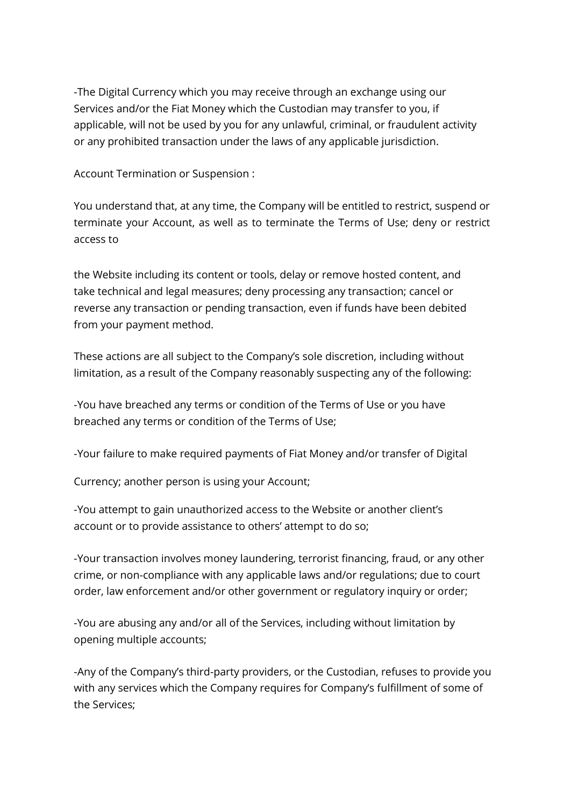-The Digital Currency which you may receive through an exchange using our Services and/or the Fiat Money which the Custodian may transfer to you, if applicable, will not be used by you for any unlawful, criminal, or fraudulent activity or any prohibited transaction under the laws of any applicable jurisdiction.

Account Termination or Suspension :

You understand that, at any time, the Company will be entitled to restrict, suspend or terminate your Account, as well as to terminate the Terms of Use; deny or restrict access to

the Website including its content or tools, delay or remove hosted content, and take technical and legal measures; deny processing any transaction; cancel or reverse any transaction or pending transaction, even if funds have been debited from your payment method.

These actions are all subject to the Company's sole discretion, including without limitation, as a result of the Company reasonably suspecting any of the following:

-You have breached any terms or condition of the Terms of Use or you have breached any terms or condition of the Terms of Use;

-Your failure to make required payments of Fiat Money and/or transfer of Digital

Currency; another person is using your Account;

-You attempt to gain unauthorized access to the Website or another client's account or to provide assistance to others' attempt to do so;

-Your transaction involves money laundering, terrorist financing, fraud, or any other crime, or non-compliance with any applicable laws and/or regulations; due to court order, law enforcement and/or other government or regulatory inquiry or order;

-You are abusing any and/or all of the Services, including without limitation by opening multiple accounts;

-Any of the Company's third-party providers, or the Custodian, refuses to provide you with any services which the Company requires for Company's fulfillment of some of the Services;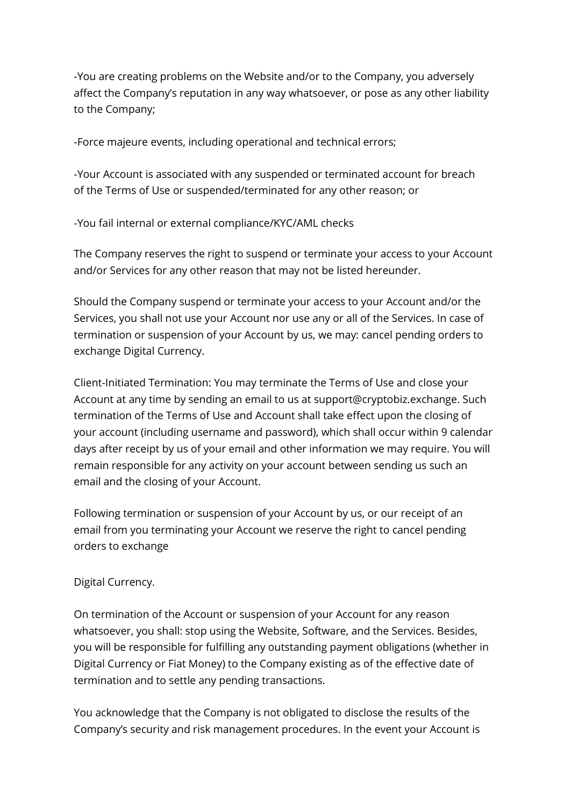-You are creating problems on the Website and/or to the Company, you adversely affect the Company's reputation in any way whatsoever, or pose as any other liability to the Company;

-Force majeure events, including operational and technical errors;

-Your Account is associated with any suspended or terminated account for breach of the Terms of Use or suspended/terminated for any other reason; or

-You fail internal or external compliance/KYC/AML checks

The Company reserves the right to suspend or terminate your access to your Account and/or Services for any other reason that may not be listed hereunder.

Should the Company suspend or terminate your access to your Account and/or the Services, you shall not use your Account nor use any or all of the Services. In case of termination or suspension of your Account by us, we may: cancel pending orders to exchange Digital Currency.

Client-Initiated Termination: You may terminate the Terms of Use and close your Account at any time by sending an email to us at support@cryptobiz.exchange. Such termination of the Terms of Use and Account shall take effect upon the closing of your account (including username and password), which shall occur within 9 calendar days after receipt by us of your email and other information we may require. You will remain responsible for any activity on your account between sending us such an email and the closing of your Account.

Following termination or suspension of your Account by us, or our receipt of an email from you terminating your Account we reserve the right to cancel pending orders to exchange

## Digital Currency.

On termination of the Account or suspension of your Account for any reason whatsoever, you shall: stop using the Website, Software, and the Services. Besides, you will be responsible for fulfilling any outstanding payment obligations (whether in Digital Currency or Fiat Money) to the Company existing as of the effective date of termination and to settle any pending transactions.

You acknowledge that the Company is not obligated to disclose the results of the Company's security and risk management procedures. In the event your Account is